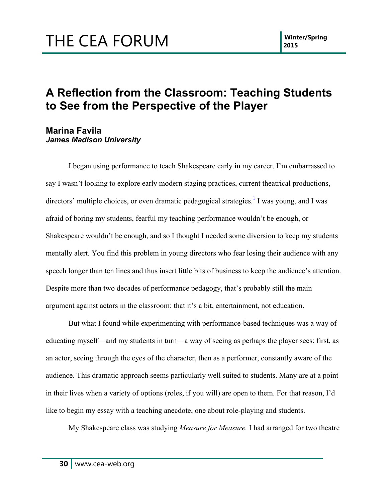#### **A Reflection from the Classroom: Teaching Students to See from the Perspective of the Player**

#### **Marina Favila** *James Madison University*

I began using performance to teach Shakespeare early in my career. I'm embarrassed to say I wasn't looking to explore early modern staging practices, current theatrical productions, directors' multiple choices, or even dramatic pedagogical strategies.<sup>1</sup> I was young, and I was afraid of boring my students, fearful my teaching performance wouldn't be enough, or Shakespeare wouldn't be enough, and so I thought I needed some diversion to keep my students mentally alert. You find this problem in young directors who fear losing their audience with any speech longer than ten lines and thus insert little bits of business to keep the audience's attention. Despite more than two decades of performance pedagogy, that's probably still the main argument against actors in the classroom: that it's a bit, entertainment, not education.

But what I found while experimenting with performance-based techniques was a way of educating myself—and my students in turn—a way of seeing as perhaps the player sees: first, as an actor, seeing through the eyes of the character, then as a performer, constantly aware of the audience. This dramatic approach seems particularly well suited to students. Many are at a point in their lives when a variety of options (roles, if you will) are open to them. For that reason, I'd like to begin my essay with a teaching anecdote, one about role-playing and students.

My Shakespeare class was studying *Measure for Measure.* I had arranged for two theatre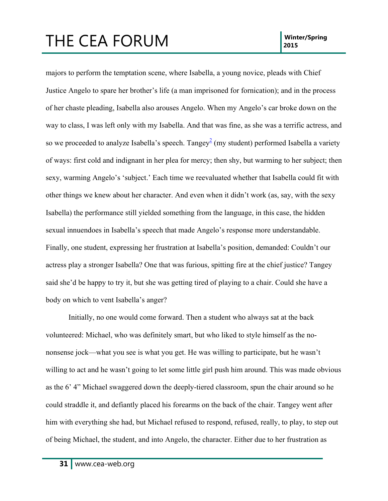majors to perform the temptation scene, where Isabella, a young novice, pleads with Chief Justice Angelo to spare her brother's life (a man imprisoned for fornication); and in the process of her chaste pleading, Isabella also arouses Angelo. When my Angelo's car broke down on the way to class, I was left only with my Isabella. And that was fine, as she was a terrific actress, and so we proceeded to analyze Isabella's speech. Tangey<sup>2</sup> (my student) performed Isabella a variety of ways: first cold and indignant in her plea for mercy; then shy, but warming to her subject; then sexy, warming Angelo's 'subject.' Each time we reevaluated whether that Isabella could fit with other things we knew about her character. And even when it didn't work (as, say, with the sexy Isabella) the performance still yielded something from the language, in this case, the hidden sexual innuendoes in Isabella's speech that made Angelo's response more understandable. Finally, one student, expressing her frustration at Isabella's position, demanded: Couldn't our actress play a stronger Isabella? One that was furious, spitting fire at the chief justice? Tangey said she'd be happy to try it, but she was getting tired of playing to a chair. Could she have a body on which to vent Isabella's anger?

Initially, no one would come forward. Then a student who always sat at the back volunteered: Michael, who was definitely smart, but who liked to style himself as the nononsense jock—what you see is what you get. He was willing to participate, but he wasn't willing to act and he wasn't going to let some little girl push him around. This was made obvious as the 6' 4" Michael swaggered down the deeply-tiered classroom, spun the chair around so he could straddle it, and defiantly placed his forearms on the back of the chair. Tangey went after him with everything she had, but Michael refused to respond, refused, really, to play, to step out of being Michael, the student, and into Angelo, the character. Either due to her frustration as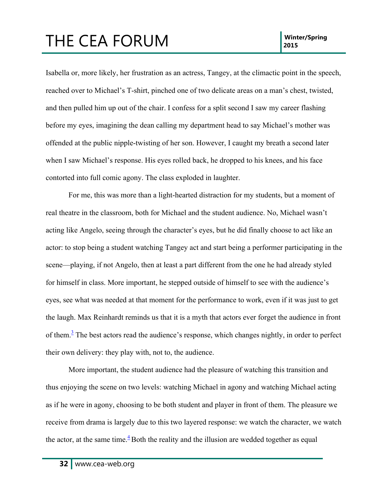Isabella or, more likely, her frustration as an actress, Tangey, at the climactic point in the speech, reached over to Michael's T-shirt, pinched one of two delicate areas on a man's chest, twisted, and then pulled him up out of the chair. I confess for a split second I saw my career flashing before my eyes, imagining the dean calling my department head to say Michael's mother was offended at the public nipple-twisting of her son. However, I caught my breath a second later when I saw Michael's response. His eyes rolled back, he dropped to his knees, and his face contorted into full comic agony. The class exploded in laughter.

For me, this was more than a light-hearted distraction for my students, but a moment of real theatre in the classroom, both for Michael and the student audience. No, Michael wasn't acting like Angelo, seeing through the character's eyes, but he did finally choose to act like an actor: to stop being a student watching Tangey act and start being a performer participating in the scene—playing, if not Angelo, then at least a part different from the one he had already styled for himself in class. More important, he stepped outside of himself to see with the audience's eyes, see what was needed at that moment for the performance to work, even if it was just to get the laugh. Max Reinhardt reminds us that it is a myth that actors ever forget the audience in front of them. $\frac{3}{2}$  The best actors read the audience's response, which changes nightly, in order to perfect their own delivery: they play with, not to, the audience.

More important, the student audience had the pleasure of watching this transition and thus enjoying the scene on two levels: watching Michael in agony and watching Michael acting as if he were in agony, choosing to be both student and player in front of them. The pleasure we receive from drama is largely due to this two layered response: we watch the character, we watch the actor, at the same time. $\frac{4}{3}$  Both the reality and the illusion are wedded together as equal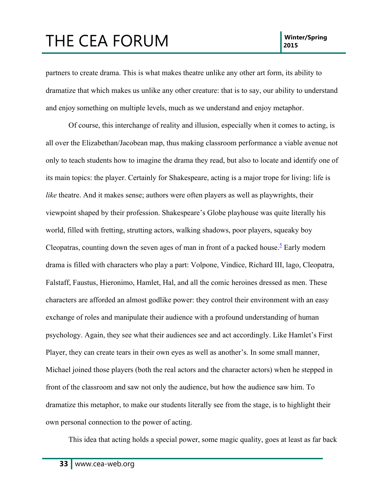partners to create drama. This is what makes theatre unlike any other art form, its ability to dramatize that which makes us unlike any other creature: that is to say, our ability to understand and enjoy something on multiple levels, much as we understand and enjoy metaphor.

Of course, this interchange of reality and illusion, especially when it comes to acting, is all over the Elizabethan/Jacobean map, thus making classroom performance a viable avenue not only to teach students how to imagine the drama they read, but also to locate and identify one of its main topics: the player. Certainly for Shakespeare, acting is a major trope for living: life is *like* theatre. And it makes sense; authors were often players as well as playwrights, their viewpoint shaped by their profession. Shakespeare's Globe playhouse was quite literally his world, filled with fretting, strutting actors, walking shadows, poor players, squeaky boy Cleopatras, counting down the seven ages of man in front of a packed house.<sup>5</sup> Early modern drama is filled with characters who play a part: Volpone, Vindice, Richard III, lago, Cleopatra, Falstaff, Faustus, Hieronimo, Hamlet, Hal, and all the comic heroines dressed as men. These characters are afforded an almost godlike power: they control their environment with an easy exchange of roles and manipulate their audience with a profound understanding of human psychology. Again, they see what their audiences see and act accordingly. Like Hamlet's First Player, they can create tears in their own eyes as well as another's. In some small manner, Michael joined those players (both the real actors and the character actors) when he stepped in front of the classroom and saw not only the audience, but how the audience saw him. To dramatize this metaphor, to make our students literally see from the stage, is to highlight their own personal connection to the power of acting.

This idea that acting holds a special power, some magic quality, goes at least as far back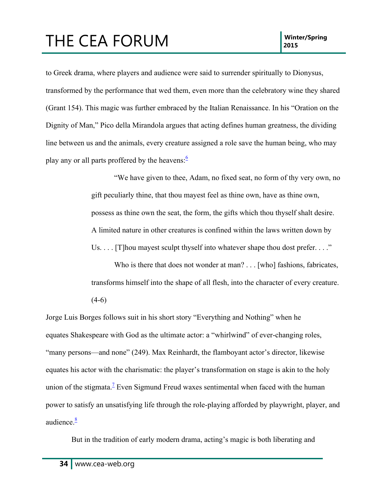to Greek drama, where players and audience were said to surrender spiritually to Dionysus, transformed by the performance that wed them, even more than the celebratory wine they shared (Grant 154). This magic was further embraced by the Italian Renaissance. In his "Oration on the Dignity of Man," Pico della Mirandola argues that acting defines human greatness, the dividing line between us and the animals, every creature assigned a role save the human being, who may play any or all parts proffered by the heavens: $\frac{6}{5}$ 

> "We have given to thee, Adam, no fixed seat, no form of thy very own, no gift peculiarly thine, that thou mayest feel as thine own, have as thine own, possess as thine own the seat, the form, the gifts which thou thyself shalt desire. A limited nature in other creatures is confined within the laws written down by Us.  $\ldots$  [T] hou may est sculpt thy self into whatever shape thou dost prefer.  $\ldots$ "

> Who is there that does not wonder at man? . . . [who] fashions, fabricates, transforms himself into the shape of all flesh, into the character of every creature.

 $(4-6)$ 

Jorge Luis Borges follows suit in his short story "Everything and Nothing" when he equates Shakespeare with God as the ultimate actor: a "whirlwind" of ever-changing roles, "many persons—and none" (249). Max Reinhardt, the flamboyant actor's director, likewise equates his actor with the charismatic: the player's transformation on stage is akin to the holy union of the stigmata.<sup>7</sup> Even Sigmund Freud waxes sentimental when faced with the human power to satisfy an unsatisfying life through the role-playing afforded by playwright, player, and audience. $\frac{8}{3}$ 

But in the tradition of early modern drama, acting's magic is both liberating and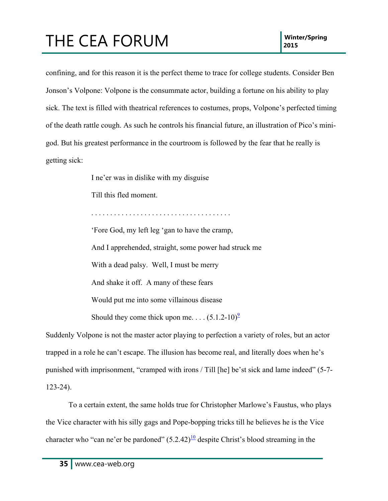# THE CEA FORUM **INSIDE A POST CONTROL** 2015

confining, and for this reason it is the perfect theme to trace for college students. Consider Ben Jonson's Volpone: Volpone is the consummate actor, building a fortune on his ability to play sick. The text is filled with theatrical references to costumes, props, Volpone's perfected timing of the death rattle cough. As such he controls his financial future, an illustration of Pico's minigod. But his greatest performance in the courtroom is followed by the fear that he really is getting sick:

I ne'er was in dislike with my disguise

Till this fled moment.

. . . . . . . . . . . . . . . . . . . . . . . . . . . . . . . . . . . . . 'Fore God, my left leg 'gan to have the cramp, And I apprehended, straight, some power had struck me With a dead palsy. Well, I must be merry And shake it off. A many of these fears Would put me into some villainous disease Should they come thick upon me. . . .  $(5.1.2-10)^{\frac{9}{2}}$ 

Suddenly Volpone is not the master actor playing to perfection a variety of roles, but an actor trapped in a role he can't escape. The illusion has become real, and literally does when he's punished with imprisonment, "cramped with irons / Till [he] be'st sick and lame indeed" (5-7- 123-24).

To a certain extent, the same holds true for Christopher Marlowe's Faustus, who plays the Vice character with his silly gags and Pope-bopping tricks till he believes he is the Vice character who "can ne'er be pardoned"  $(5.2.42)$ <sup>10</sup> despite Christ's blood streaming in the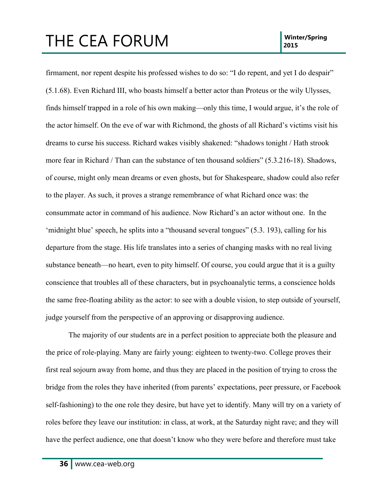firmament, nor repent despite his professed wishes to do so: "I do repent, and yet I do despair" (5.1.68). Even Richard III, who boasts himself a better actor than Proteus or the wily Ulysses, finds himself trapped in a role of his own making—only this time, I would argue, it's the role of the actor himself. On the eve of war with Richmond, the ghosts of all Richard's victims visit his dreams to curse his success. Richard wakes visibly shakened: "shadows tonight / Hath strook more fear in Richard / Than can the substance of ten thousand soldiers" (5.3.216-18). Shadows, of course, might only mean dreams or even ghosts, but for Shakespeare, shadow could also refer to the player. As such, it proves a strange remembrance of what Richard once was: the consummate actor in command of his audience. Now Richard's an actor without one. In the 'midnight blue' speech, he splits into a "thousand several tongues" (5.3. 193), calling for his departure from the stage. His life translates into a series of changing masks with no real living substance beneath—no heart, even to pity himself. Of course, you could argue that it is a guilty conscience that troubles all of these characters, but in psychoanalytic terms, a conscience holds the same free-floating ability as the actor: to see with a double vision, to step outside of yourself, judge yourself from the perspective of an approving or disapproving audience.

The majority of our students are in a perfect position to appreciate both the pleasure and the price of role-playing. Many are fairly young: eighteen to twenty-two. College proves their first real sojourn away from home, and thus they are placed in the position of trying to cross the bridge from the roles they have inherited (from parents' expectations, peer pressure, or Facebook self-fashioning) to the one role they desire, but have yet to identify. Many will try on a variety of roles before they leave our institution: in class, at work, at the Saturday night rave; and they will have the perfect audience, one that doesn't know who they were before and therefore must take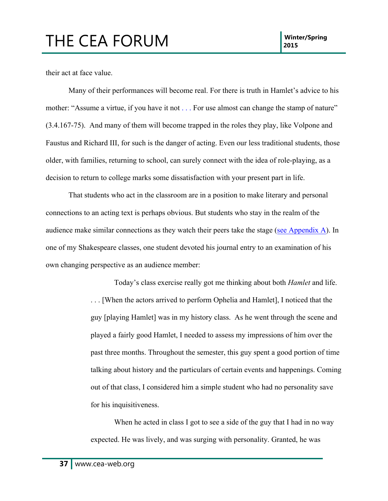their act at face value.

Many of their performances will become real. For there is truth in Hamlet's advice to his mother: "Assume a virtue, if you have it not . . . For use almost can change the stamp of nature" (3.4.167-75). And many of them will become trapped in the roles they play, like Volpone and Faustus and Richard III, for such is the danger of acting. Even our less traditional students, those older, with families, returning to school, can surely connect with the idea of role-playing, as a decision to return to college marks some dissatisfaction with your present part in life.

That students who act in the classroom are in a position to make literary and personal connections to an acting text is perhaps obvious. But students who stay in the realm of the audience make similar connections as they watch their peers take the stage (see Appendix A). In one of my Shakespeare classes, one student devoted his journal entry to an examination of his own changing perspective as an audience member:

> Today's class exercise really got me thinking about both *Hamlet* and life. . . . [When the actors arrived to perform Ophelia and Hamlet], I noticed that the guy [playing Hamlet] was in my history class. As he went through the scene and played a fairly good Hamlet, I needed to assess my impressions of him over the past three months. Throughout the semester, this guy spent a good portion of time talking about history and the particulars of certain events and happenings. Coming out of that class, I considered him a simple student who had no personality save for his inquisitiveness.

When he acted in class I got to see a side of the guy that I had in no way expected. He was lively, and was surging with personality. Granted, he was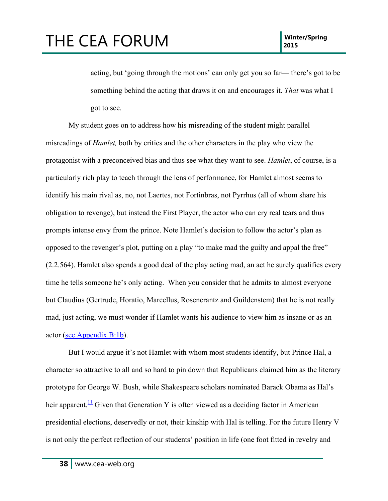acting, but 'going through the motions' can only get you so far— there's got to be something behind the acting that draws it on and encourages it. *That* was what I got to see.

My student goes on to address how his misreading of the student might parallel misreadings of *Hamlet,* both by critics and the other characters in the play who view the protagonist with a preconceived bias and thus see what they want to see. *Hamlet*, of course, is a particularly rich play to teach through the lens of performance, for Hamlet almost seems to identify his main rival as, no, not Laertes, not Fortinbras, not Pyrrhus (all of whom share his obligation to revenge), but instead the First Player, the actor who can cry real tears and thus prompts intense envy from the prince. Note Hamlet's decision to follow the actor's plan as opposed to the revenger's plot, putting on a play "to make mad the guilty and appal the free" (2.2.564). Hamlet also spends a good deal of the play acting mad, an act he surely qualifies every time he tells someone he's only acting. When you consider that he admits to almost everyone but Claudius (Gertrude, Horatio, Marcellus, Rosencrantz and Guildenstem) that he is not really mad, just acting, we must wonder if Hamlet wants his audience to view him as insane or as an actor (see Appendix B:1b).

But I would argue it's not Hamlet with whom most students identify, but Prince Hal, a character so attractive to all and so hard to pin down that Republicans claimed him as the literary prototype for George W. Bush, while Shakespeare scholars nominated Barack Obama as Hal's heir apparent.<sup>11</sup> Given that Generation Y is often viewed as a deciding factor in American presidential elections, deservedly or not, their kinship with Hal is telling. For the future Henry V is not only the perfect reflection of our students' position in life (one foot fitted in revelry and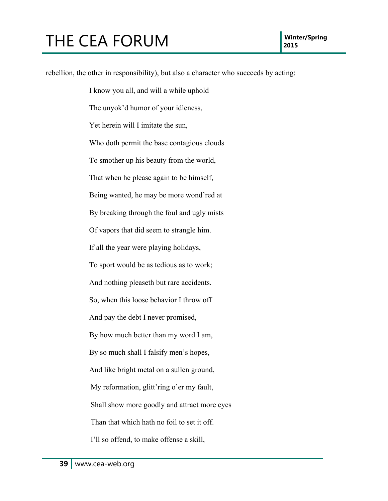rebellion, the other in responsibility), but also a character who succeeds by acting: I know you all, and will a while uphold The unyok'd humor of your idleness, Yet herein will I imitate the sun, Who doth permit the base contagious clouds To smother up his beauty from the world, That when he please again to be himself, Being wanted, he may be more wond'red at By breaking through the foul and ugly mists Of vapors that did seem to strangle him. If all the year were playing holidays, To sport would be as tedious as to work; And nothing pleaseth but rare accidents. So, when this loose behavior I throw off And pay the debt I never promised, By how much better than my word I am, By so much shall I falsify men's hopes, And like bright metal on a sullen ground, My reformation, glitt'ring o'er my fault, Shall show more goodly and attract more eyes Than that which hath no foil to set it off. I'll so offend, to make offense a skill,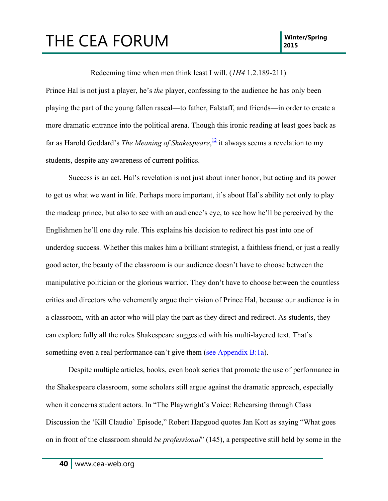Redeeming time when men think least I will. (*1H4* 1.2.189-211)

Prince Hal is not just a player, he's *the* player, confessing to the audience he has only been playing the part of the young fallen rascal—to father, Falstaff, and friends—in order to create a more dramatic entrance into the political arena. Though this ironic reading at least goes back as far as Harold Goddard's *The Meaning of Shakespeare*, <sup>12</sup> it always seems a revelation to my students, despite any awareness of current politics.

Success is an act. Hal's revelation is not just about inner honor, but acting and its power to get us what we want in life. Perhaps more important, it's about Hal's ability not only to play the madcap prince, but also to see with an audience's eye, to see how he'll be perceived by the Englishmen he'll one day rule. This explains his decision to redirect his past into one of underdog success. Whether this makes him a brilliant strategist, a faithless friend, or just a really good actor, the beauty of the classroom is our audience doesn't have to choose between the manipulative politician or the glorious warrior. They don't have to choose between the countless critics and directors who vehemently argue their vision of Prince Hal, because our audience is in a classroom, with an actor who will play the part as they direct and redirect. As students, they can explore fully all the roles Shakespeare suggested with his multi-layered text. That's something even a real performance can't give them (see Appendix B:1a).

Despite multiple articles, books, even book series that promote the use of performance in the Shakespeare classroom, some scholars still argue against the dramatic approach, especially when it concerns student actors. In "The Playwright's Voice: Rehearsing through Class Discussion the 'Kill Claudio' Episode," Robert Hapgood quotes Jan Kott as saying "What goes on in front of the classroom should *be professional*" (145), a perspective still held by some in the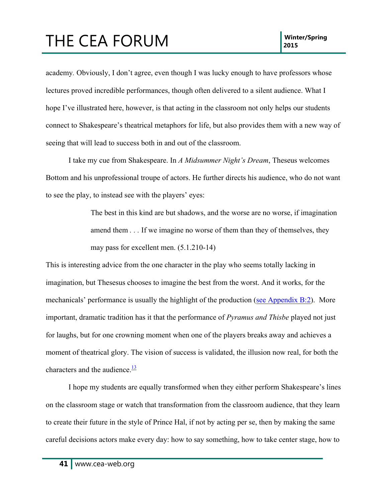academy*.* Obviously, I don't agree, even though I was lucky enough to have professors whose lectures proved incredible performances, though often delivered to a silent audience. What I hope I've illustrated here, however, is that acting in the classroom not only helps our students connect to Shakespeare's theatrical metaphors for life, but also provides them with a new way of seeing that will lead to success both in and out of the classroom.

I take my cue from Shakespeare. In *A Midsummer Night's Dream*, Theseus welcomes Bottom and his unprofessional troupe of actors. He further directs his audience, who do not want to see the play, to instead see with the players' eyes:

> The best in this kind are but shadows, and the worse are no worse, if imagination amend them *. . .* If we imagine no worse of them than they of themselves, they may pass for excellent men. (5.1.210-14)

This is interesting advice from the one character in the play who seems totally lacking in imagination, but Thesesus chooses to imagine the best from the worst. And it works, for the mechanicals' performance is usually the highlight of the production (see Appendix B:2). More important, dramatic tradition has it that the performance of *Pyramus and Thisbe* played not just for laughs, but for one crowning moment when one of the players breaks away and achieves a moment of theatrical glory. The vision of success is validated, the illusion now real, for both the characters and the audience. $\frac{13}{13}$ 

I hope my students are equally transformed when they either perform Shakespeare's lines on the classroom stage or watch that transformation from the classroom audience, that they learn to create their future in the style of Prince Hal, if not by acting per se, then by making the same careful decisions actors make every day: how to say something, how to take center stage, how to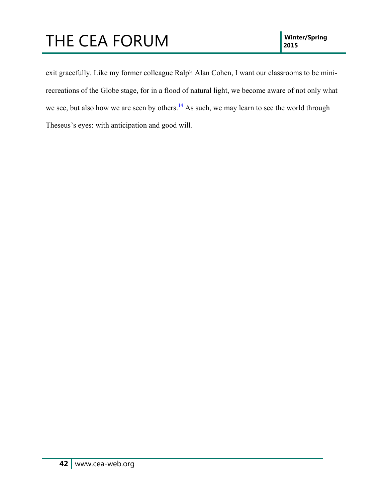exit gracefully. Like my former colleague Ralph Alan Cohen, I want our classrooms to be minirecreations of the Globe stage, for in a flood of natural light, we become aware of not only what we see, but also how we are seen by others. $\frac{14}{1}$  As such, we may learn to see the world through Theseus's eyes: with anticipation and good will.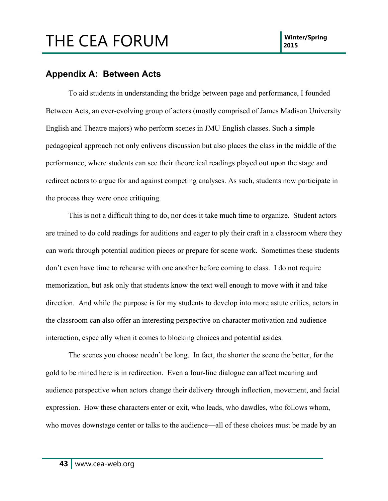#### **Appendix A: Between Acts**

To aid students in understanding the bridge between page and performance, I founded Between Acts, an ever-evolving group of actors (mostly comprised of James Madison University English and Theatre majors) who perform scenes in JMU English classes. Such a simple pedagogical approach not only enlivens discussion but also places the class in the middle of the performance, where students can see their theoretical readings played out upon the stage and redirect actors to argue for and against competing analyses. As such, students now participate in the process they were once critiquing.

This is not a difficult thing to do, nor does it take much time to organize. Student actors are trained to do cold readings for auditions and eager to ply their craft in a classroom where they can work through potential audition pieces or prepare for scene work. Sometimes these students don't even have time to rehearse with one another before coming to class. I do not require memorization, but ask only that students know the text well enough to move with it and take direction. And while the purpose is for my students to develop into more astute critics, actors in the classroom can also offer an interesting perspective on character motivation and audience interaction, especially when it comes to blocking choices and potential asides.

The scenes you choose needn't be long. In fact, the shorter the scene the better, for the gold to be mined here is in redirection. Even a four-line dialogue can affect meaning and audience perspective when actors change their delivery through inflection, movement, and facial expression. How these characters enter or exit, who leads, who dawdles, who follows whom, who moves downstage center or talks to the audience—all of these choices must be made by an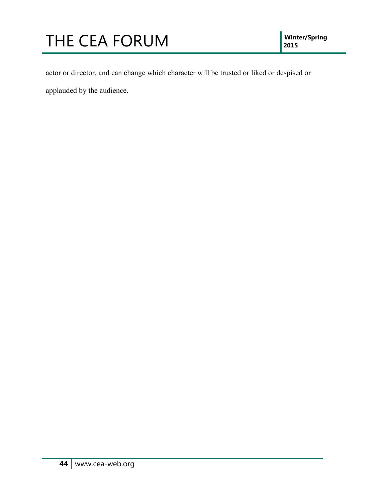# **THE CEA FORUM**

actor or director, and can change which character will be trusted or liked or despised or

applauded by the audience.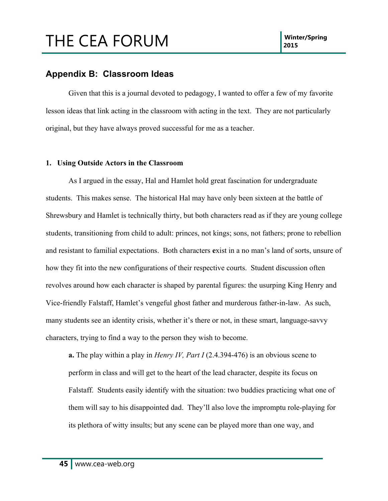#### **Appendix B: Classroom Ideas**

Given that this is a journal devoted to pedagogy, I wanted to offer a few of my favorite lesson ideas that link acting in the classroom with acting in the text. They are not particularly original, but they have always proved successful for me as a teacher.

#### **1. Using Outside Actors in the Classroom**

As I argued in the essay, Hal and Hamlet hold great fascination for undergraduate students. This makes sense. The historical Hal may have only been sixteen at the battle of Shrewsbury and Hamlet is technically thirty, but both characters read as if they are young college students, transitioning from child to adult: princes, not kings; sons, not fathers; prone to rebellion and resistant to familial expectations. Both characters **e**xist in a no man's land of sorts, unsure of how they fit into the new configurations of their respective courts. Student discussion often revolves around how each character is shaped by parental figures: the usurping King Henry and Vice-friendly Falstaff, Hamlet's vengeful ghost father and murderous father-in-law. As such, many students see an identity crisis, whether it's there or not, in these smart, language-savvy characters, trying to find a way to the person they wish to become.

**a.** The play within a play in *Henry IV, Part I* (2.4.394-476) is an obvious scene to perform in class and will get to the heart of the lead character, despite its focus on Falstaff. Students easily identify with the situation: two buddies practicing what one of them will say to his disappointed dad. They'll also love the impromptu role-playing for its plethora of witty insults; but any scene can be played more than one way, and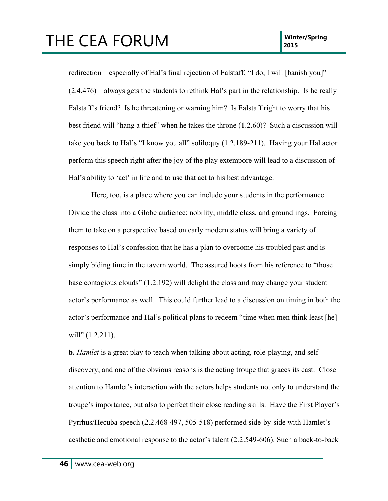redirection—especially of Hal's final rejection of Falstaff, "I do, I will [banish you]" (2.4.476)—always gets the students to rethink Hal's part in the relationship. Is he really Falstaff's friend? Is he threatening or warning him? Is Falstaff right to worry that his best friend will "hang a thief" when he takes the throne (1.2.60)? Such a discussion will take you back to Hal's "I know you all" soliloquy (1.2.189-211). Having your Hal actor perform this speech right after the joy of the play extempore will lead to a discussion of Hal's ability to 'act' in life and to use that act to his best advantage.

Here, too, is a place where you can include your students in the performance. Divide the class into a Globe audience: nobility, middle class, and groundlings. Forcing them to take on a perspective based on early modern status will bring a variety of responses to Hal's confession that he has a plan to overcome his troubled past and is simply biding time in the tavern world. The assured hoots from his reference to "those base contagious clouds" (1.2.192) will delight the class and may change your student actor's performance as well. This could further lead to a discussion on timing in both the actor's performance and Hal's political plans to redeem "time when men think least [he] will" (1.2.211).

**b.** *Hamlet* is a great play to teach when talking about acting, role-playing, and selfdiscovery, and one of the obvious reasons is the acting troupe that graces its cast. Close attention to Hamlet's interaction with the actors helps students not only to understand the troupe's importance, but also to perfect their close reading skills. Have the First Player's Pyrrhus/Hecuba speech (2.2.468-497, 505-518) performed side-by-side with Hamlet's aesthetic and emotional response to the actor's talent (2.2.549-606). Such a back-to-back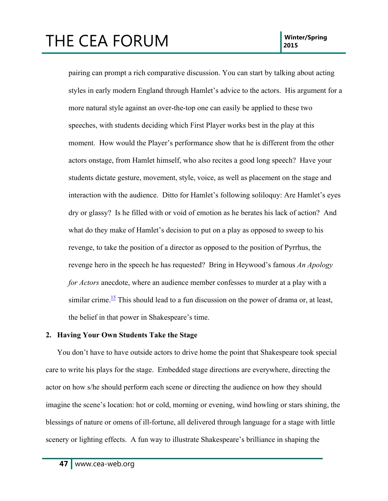### THE CEA FORUM **INSIDE A POST CONTROL** 2015

pairing can prompt a rich comparative discussion. You can start by talking about acting styles in early modern England through Hamlet's advice to the actors. His argument for a more natural style against an over-the-top one can easily be applied to these two speeches, with students deciding which First Player works best in the play at this moment. How would the Player's performance show that he is different from the other actors onstage, from Hamlet himself, who also recites a good long speech? Have your students dictate gesture, movement, style, voice, as well as placement on the stage and interaction with the audience. Ditto for Hamlet's following soliloquy: Are Hamlet's eyes dry or glassy? Is he filled with or void of emotion as he berates his lack of action? And what do they make of Hamlet's decision to put on a play as opposed to sweep to his revenge, to take the position of a director as opposed to the position of Pyrrhus, the revenge hero in the speech he has requested? Bring in Heywood's famous *An Apology for Actors* anecdote, where an audience member confesses to murder at a play with a similar crime.<sup>15</sup> This should lead to a fun discussion on the power of drama or, at least, the belief in that power in Shakespeare's time.

#### **2. Having Your Own Students Take the Stage**

You don't have to have outside actors to drive home the point that Shakespeare took special care to write his plays for the stage. Embedded stage directions are everywhere, directing the actor on how s/he should perform each scene or directing the audience on how they should imagine the scene's location: hot or cold, morning or evening, wind howling or stars shining, the blessings of nature or omens of ill-fortune, all delivered through language for a stage with little scenery or lighting effects. A fun way to illustrate Shakespeare's brilliance in shaping the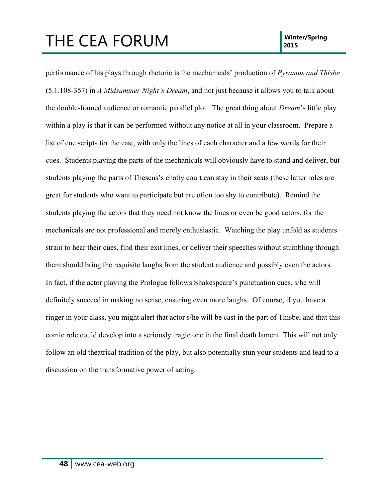performance of his plays through rhetoric is the mechanicals' production of *Pyramus and Thisbe* (5.1.108-357) in *A Midsummer Night's Dream*, and not just because it allows you to talk about the double-framed audience or romantic parallel plot. The great thing about *Dream*'s little play within a play is that it can be performed without any notice at all in your classroom. Prepare a list of cue scripts for the cast, with only the lines of each character and a few words for their cues. Students playing the parts of the mechanicals will obviously have to stand and deliver, but students playing the parts of Theseus's chatty court can stay in their seats (these latter roles are great for students who want to participate but are often too shy to contribute). Remind the students playing the actors that they need not know the lines or even be good actors, for the mechanicals are not professional and merely enthusiastic. Watching the play unfold as students strain to hear their cues, find their exit lines, or deliver their speeches without stumbling through them should bring the requisite laughs from the student audience and possibly even the actors. In fact, if the actor playing the Prologue follows Shakespeare's punctuation cues, s/he will definitely succeed in making no sense, ensuring even more laughs. Of course, if you have a ringer in your class, you might alert that actor s/he will be cast in the part of Thisbe, and that this comic role could develop into a seriously tragic one in the final death lament. This will not only follow an old theatrical tradition of the play, but also potentially stun your students and lead to a discussion on the transformative power of acting.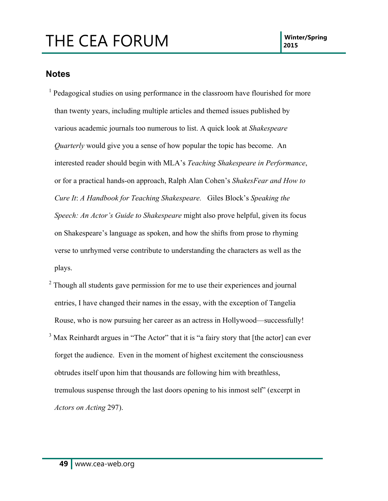#### **Notes**

<sup>1</sup> Pedagogical studies on using performance in the classroom have flourished for more than twenty years, including multiple articles and themed issues published by various academic journals too numerous to list. A quick look at *Shakespeare Quarterly* would give you a sense of how popular the topic has become. An interested reader should begin with MLA's *Teaching Shakespeare in Performance*, or for a practical hands-on approach, Ralph Alan Cohen's *ShakesFear and How to Cure It*: *A Handbook for Teaching Shakespeare.* Giles Block's *Speaking the Speech: An Actor's Guide to Shakespeare* might also prove helpful, given its focus on Shakespeare's language as spoken, and how the shifts from prose to rhyming verse to unrhymed verse contribute to understanding the characters as well as the plays.

 $2$  Though all students gave permission for me to use their experiences and journal entries, I have changed their names in the essay, with the exception of Tangelia Rouse, who is now pursuing her career as an actress in Hollywood—successfully! <sup>3</sup> Max Reinhardt argues in "The Actor" that it is "a fairy story that [the actor] can ever forget the audience. Even in the moment of highest excitement the consciousness obtrudes itself upon him that thousands are following him with breathless, tremulous suspense through the last doors opening to his inmost self" (excerpt in *Actors on Acting* 297).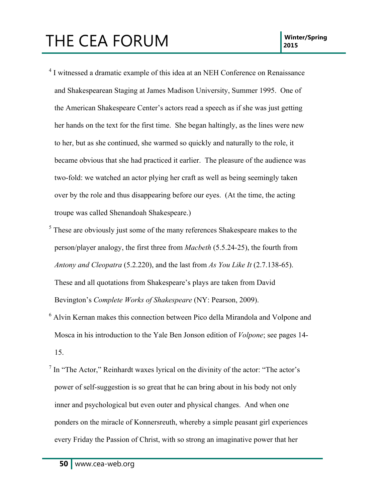- <sup>4</sup> I witnessed a dramatic example of this idea at an NEH Conference on Renaissance and Shakespearean Staging at James Madison University, Summer 1995. One of the American Shakespeare Center's actors read a speech as if she was just getting her hands on the text for the first time. She began haltingly, as the lines were new to her, but as she continued, she warmed so quickly and naturally to the role, it became obvious that she had practiced it earlier. The pleasure of the audience was two-fold: we watched an actor plying her craft as well as being seemingly taken over by the role and thus disappearing before our eyes. (At the time, the acting troupe was called Shenandoah Shakespeare.)
- <sup>5</sup> These are obviously just some of the many references Shakespeare makes to the person/player analogy, the first three from *Macbeth* (5.5.24-25), the fourth from *Antony and Cleopatra* (5.2.220), and the last from *As You Like It* (2.7.138-65). These and all quotations from Shakespeare's plays are taken from David Bevington's *Complete Works of Shakespeare* (NY: Pearson, 2009).
- <sup>6</sup> Alvin Kernan makes this connection between Pico della Mirandola and Volpone and Mosca in his introduction to the Yale Ben Jonson edition of *Volpone*; see pages 14- 15.
- $<sup>7</sup>$  In "The Actor," Reinhardt waxes lyrical on the divinity of the actor: "The actor's</sup> power of self-suggestion is so great that he can bring about in his body not only inner and psychological but even outer and physical changes. And when one ponders on the miracle of Konnersreuth, whereby a simple peasant girl experiences every Friday the Passion of Christ, with so strong an imaginative power that her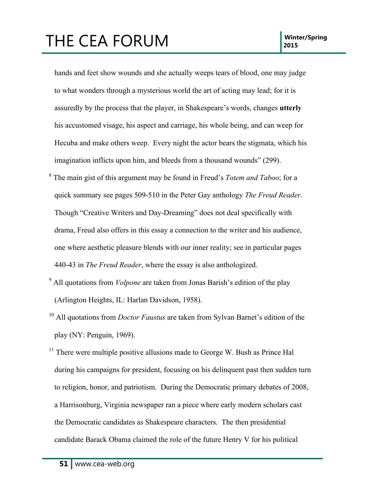#### THE CEA FORUM **INSIDE A POST CONTROL** 2015

hands and feet show wounds and she actually weeps tears of blood, one may judge to what wonders through a mysterious world the art of acting may lead; for it is assuredly by the process that the player, in Shakespeare's words, changes **utterly** his accustomed visage, his aspect and carriage, his whole being, and can weep for Hecuba and make others weep. Every night the actor bears the stigmata, which his imagination inflicts upon him, and bleeds from a thousand wounds" (299).

- <sup>8</sup> The main gist of this argument may be found in Freud's *Totem and Taboo*; for a quick summary see pages 509-510 in the Peter Gay anthology *The Freud Reader*. Though "Creative Writers and Day-Dreaming" does not deal specifically with drama, Freud also offers in this essay a connection to the writer and his audience, one where aesthetic pleasure blends with our inner reality; see in particular pages 440-43 in *The Freud Reader*, where the essay is also anthologized.
- <sup>9</sup> All quotations from *Volpone* are taken from Jonas Barish's edition of the play (Arlington Heights, IL: Harlan Davidson, 1958).
- <sup>10</sup> All quotations from *Doctor Faustus* are taken from Sylvan Barnet's edition of the play (NY: Penguin, 1969).
- $11$  There were multiple positive allusions made to George W. Bush as Prince Hal during his campaigns for president, focusing on his delinquent past then sudden turn to religion, honor, and patriotism. During the Democratic primary debates of 2008, a Harrisonburg, Virginia newspaper ran a piece where early modern scholars cast the Democratic candidates as Shakespeare characters. The then presidential candidate Barack Obama claimed the role of the future Henry V for his political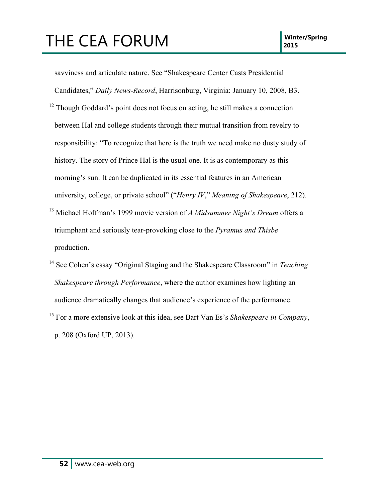savviness and articulate nature. See "Shakespeare Center Casts Presidential Candidates," *Daily News-Record*, Harrisonburg, Virginia: January 10, 2008, B3.

- $12$  Though Goddard's point does not focus on acting, he still makes a connection between Hal and college students through their mutual transition from revelry to responsibility: "To recognize that here is the truth we need make no dusty study of history. The story of Prince Hal is the usual one. It is as contemporary as this morning's sun. It can be duplicated in its essential features in an American university, college, or private school" ("*Henry IV*," *Meaning of Shakespeare*, 212).
- <sup>13</sup> Michael Hoffman's 1999 movie version of *A Midsummer Night's Dream* offers a triumphant and seriously tear-provoking close to the *Pyramus and Thisbe* production.
- <sup>14</sup> See Cohen's essay "Original Staging and the Shakespeare Classroom" in *Teaching Shakespeare through Performance*, where the author examines how lighting an audience dramatically changes that audience's experience of the performance. <sup>15</sup> For a more extensive look at this idea, see Bart Van Es's *Shakespeare in Company*,

p. 208 (Oxford UP, 2013).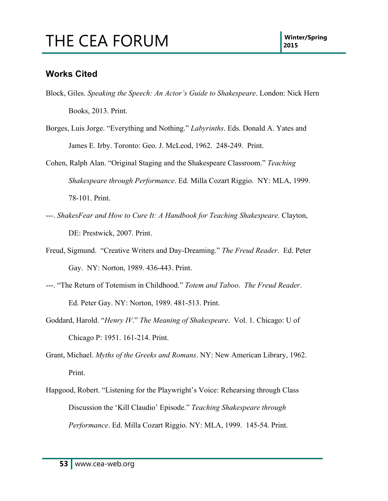#### **Works Cited**

- Block, Giles. *Speaking the Speech: An Actor's Guide to Shakespeare*. London: Nick Hern Books, 2013. Print.
- Borges, Luis Jorge. "Everything and Nothing." *Labyrinths*. Eds. Donald A. Yates and James E. Irby. Toronto: Geo. J. McLeod, 1962. 248-249. Print.
- Cohen, Ralph Alan. "Original Staging and the Shakespeare Classroom." *Teaching Shakespeare through Performance*. Ed. Milla Cozart Riggio. NY: MLA, 1999. 78-101. Print.
- ---. *ShakesFear and How to Cure It: A Handbook for Teaching Shakespeare.* Clayton, DE: Prestwick, 2007. Print.
- Freud, Sigmund. "Creative Writers and Day-Dreaming." *The Freud Reader*. Ed. Peter Gay. NY: Norton, 1989. 436-443. Print.
- ---. "The Return of Totemism in Childhood." *Totem and Taboo*. *The Freud Reader*. Ed. Peter Gay. NY: Norton, 1989. 481-513. Print.
- Goddard, Harold. "*Henry IV*." *The Meaning of Shakespeare*. Vol. 1. Chicago: U of Chicago P: 1951. 161-214. Print.
- Grant, Michael. *Myths of the Greeks and Romans*. NY: New American Library, 1962. Print.
- Hapgood, Robert. "Listening for the Playwright's Voice: Rehearsing through Class Discussion the 'Kill Claudio' Episode." *Teaching Shakespeare through Performance*. Ed. Milla Cozart Riggio. NY: MLA, 1999. 145-54. Print.